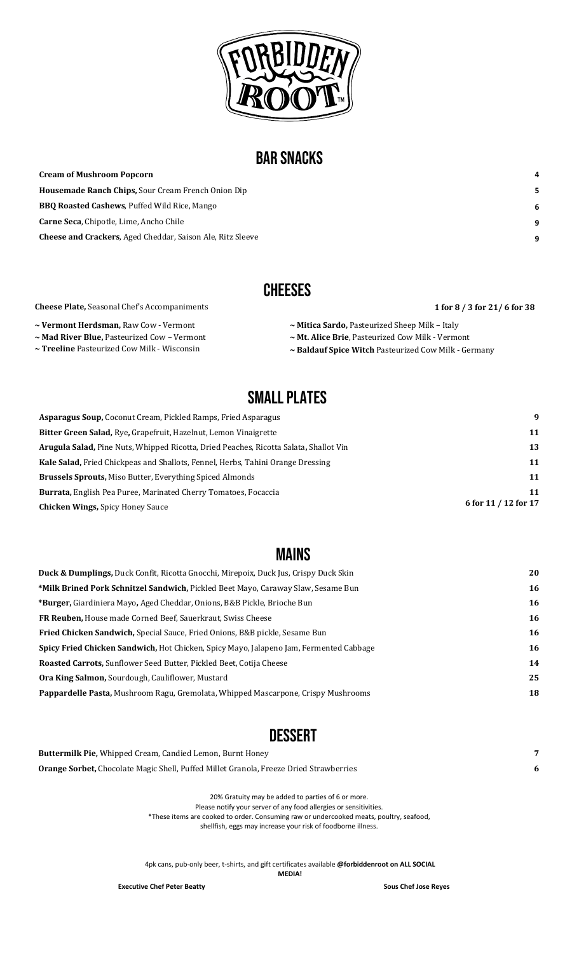

## BAR SNACKS

| <b>Cream of Mushroom Popcorn</b>                                  | 4  |
|-------------------------------------------------------------------|----|
| <b>Housemade Ranch Chips, Sour Cream French Onion Dip</b>         | 5. |
| <b>BBQ Roasted Cashews, Puffed Wild Rice, Mango</b>               | 6  |
| <b>Carne Seca, Chipotle, Lime, Ancho Chile</b>                    | 9  |
| <b>Cheese and Crackers, Aged Cheddar, Saison Ale, Ritz Sleeve</b> | 9  |

## **CHEESES**

#### **Cheese Plate,** Seasonal Chef's Accompaniments **1** for 8 / 3 for 21/ 6 for 38

**~ Vermont Herdsman,** Raw Cow - Vermont 

**~ Mad River Blue,** Pasteurized Cow – Vermont **~ Treeline** Pasteurized Cow Milk - Wisconsin 

- **~ Mitica Sardo,** Pasteurized Sheep Milk – Italy ~ Mt. Alice Brie, Pasteurized Cow Milk - Vermont
- ~ Baldauf Spice Witch Pasteurized Cow Milk Germany

## SMALL PLATES

| <b>Asparagus Soup, Coconut Cream, Pickled Ramps, Fried Asparagus</b>                         | 9                    |
|----------------------------------------------------------------------------------------------|----------------------|
| Bitter Green Salad, Rye, Grapefruit, Hazelnut, Lemon Vinaigrette                             | 11                   |
| <b>Arugula Salad, Pine Nuts, Whipped Ricotta, Dried Peaches, Ricotta Salata, Shallot Vin</b> | 13                   |
| <b>Kale Salad, Fried Chickpeas and Shallots, Fennel, Herbs, Tahini Orange Dressing</b>       | 11                   |
| <b>Brussels Sprouts, Miso Butter, Everything Spiced Almonds</b>                              | 11                   |
| <b>Burrata, English Pea Puree, Marinated Cherry Tomatoes, Focaccia</b>                       | 11                   |
| <b>Chicken Wings, Spicy Honey Sauce</b>                                                      | 6 for 11 / 12 for 17 |

### MAINS

| <b>Duck &amp; Dumplings, Duck Confit, Ricotta Gnocchi, Mirepoix, Duck Jus, Crispy Duck Skin</b> | 20 |
|-------------------------------------------------------------------------------------------------|----|
| <b>*Milk Brined Pork Schnitzel Sandwich, Pickled Beet Mayo, Caraway Slaw, Sesame Bun</b>        | 16 |
| <b>*Burger,</b> Giardiniera Mayo, Aged Cheddar, Onions, B&B Pickle, Brioche Bun                 | 16 |
| FR Reuben, House made Corned Beef, Sauerkraut, Swiss Cheese                                     | 16 |
| <b>Fried Chicken Sandwich, Special Sauce, Fried Onions, B&amp;B pickle, Sesame Bun</b>          | 16 |
| <b>Spicy Fried Chicken Sandwich, Hot Chicken, Spicy Mayo, Jalapeno Jam, Fermented Cabbage</b>   | 16 |
| Roasted Carrots, Sunflower Seed Butter, Pickled Beet, Cotija Cheese                             | 14 |
| <b>Ora King Salmon, Sourdough, Cauliflower, Mustard</b>                                         | 25 |
| <b>Pappardelle Pasta, Mushroom Ragu, Gremolata, Whipped Mascarpone, Crispy Mushrooms</b>        | 18 |
|                                                                                                 |    |

## **DESSERT**

| <b>Buttermilk Pie, Whipped Cream, Candied Lemon, Burnt Honey</b>                              |  |
|-----------------------------------------------------------------------------------------------|--|
| <b>Orange Sorbet,</b> Chocolate Magic Shell, Puffed Millet Granola, Freeze Dried Strawberries |  |
|                                                                                               |  |

20% Gratuity may be added to parties of 6 or more.

Please notify your server of any food allergies or sensitivities. \*These items are cooked to order. Consuming raw or undercooked meats, poultry, seafood,

shellfish, eggs may increase your risk of foodborne illness.

4pk cans, pub-only beer, t-shirts, and gift certificates available **@forbiddenroot on ALL SOCIAL** 

**MEDIA!**

**Executive Chef Peter Beatty Sous Chef Jose Reyes**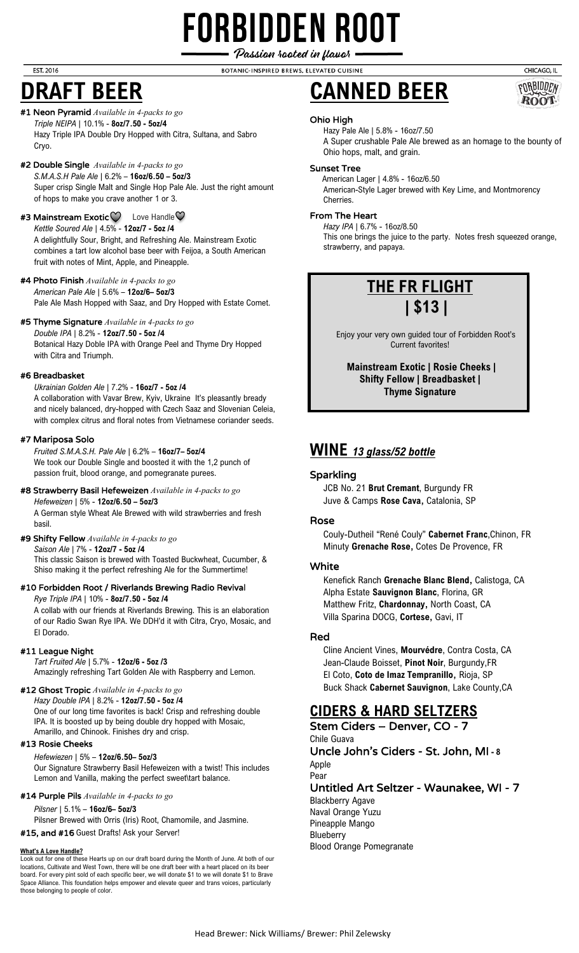## **FORBIDDEN ROOT** Passion rooted in flavor

BOTANIC-INSPIRED BREWS, ELEVATED CUISINE

#### **EST. 2016**

## **DRAFT BEER**

#### #1 Neon Pyramid *Available in 4-packs to go Triple NEIPA* | 10.1% - **8oz/7.50 - 5oz/4**

Hazy Triple IPA Double Dry Hopped with Citra, Sultana, and Sabro Cryo.

### #2 Double Single *Available in 4-packs to go*

*S.M.A.S.H Pale Ale* | 6.2% – **16oz/6.50 – 5oz/3** Super crisp Single Malt and Single Hop Pale Ale. Just the right amount of hops to make you crave another 1 or 3.

#### #3 Mainstream Exotic $\heartsuit$  Love Handle $\heartsuit$ *Kettle Soured Ale* | 4.5% - **12oz/7 - 5oz /4** A delightfully Sour, Bright, and Refreshing Ale. Mainstream Exotic combines a tart low alcohol base beer with Feijoa, a South American

fruit with notes of Mint, Apple, and Pineapple. #4 Photo Finish *Available in 4-packs to go*

*American Pale Ale* | 5.6% – **12oz/6– 5oz/3** Pale Ale Mash Hopped with Saaz, and Dry Hopped with Estate Comet.

#### #5 Thyme Signature *Available in 4-packs to go*

*Double IPA* | 8.2% - **12oz/7.50 - 5oz /4** Botanical Hazy Doble IPA with Orange Peel and Thyme Dry Hopped with Citra and Triumph.

#### #6 Breadbasket

*Ukrainian Golden Ale* | 7.2% - **16oz/7 - 5oz /4** A collaboration with Vavar Brew, Kyiv, Ukraine It's pleasantly bready and nicely balanced, dry-hopped with Czech Saaz and Slovenian Celeia, with complex citrus and floral notes from Vietnamese coriander seeds.

#### #7 Mariposa Solo

*Fruited S.M.A.S.H. Pale Ale* | 6.2% – **16oz/7– 5oz/4** We took our Double Single and boosted it with the 1,2 punch of passion fruit, blood orange, and pomegranate purees.

#### #8 Strawberry Basil Hefeweizen *Available in 4-packs to go Hefeweizen* | 5% - **12oz/6.50 – 5oz/3**

A German style Wheat Ale Brewed with wild strawberries and fresh basil.

#### #9 Shifty Fellow *Available in 4-packs to go*

*Saison Ale* | 7% - **12oz/7 - 5oz /4** This classic Saison is brewed with Toasted Buckwheat, Cucumber, & Shiso making it the perfect refreshing Ale for the Summertime!

#### #10 Forbidden Root / Riverlands Brewing Radio Revival

*Rye Triple IPA* | 10% - **8oz/7.50 - 5oz /4**

A collab with our friends at Riverlands Brewing. This is an elaboration of our Radio Swan Rye IPA. We DDH'd it with Citra, Cryo, Mosaic, and El Dorado.

#### #11 League Night

*Tart Fruited Ale* | 5.7% - **12oz/6 - 5oz /3** Amazingly refreshing Tart Golden Ale with Raspberry and Lemon.

#### #12 Ghost Tropic *Available in 4-packs to go*

*Hazy Double IPA* | 8.2% - **12oz/7.50 - 5oz /4** One of our long time favorites is back! Crisp and refreshing double IPA. It is boosted up by being double dry hopped with Mosaic, Amarillo, and Chinook. Finishes dry and crisp.

#### #13 Rosie Cheeks

#### *Hefewiezen* | 5% – **12oz/6.50– 5oz/3**

Our Signature Strawberry Basil Hefeweizen with a twist! This includes Lemon and Vanilla, making the perfect sweet\tart balance.

#### #14 Purple Pils *Available in 4-packs to go*

*Pilsner* | 5.1% – **16oz/6– 5oz/3**

Pilsner Brewed with Orris (Iris) Root, Chamomile, and Jasmine.

#15, and #16 Guest Drafts! Ask your Server!

#### **What's A Love Handle?**

Look out for one of these Hearts up on our draft board during the Month of June. At both of our locations, Cultivate and West Town, there will be one draft beer with a heart placed on its beer board. For every pint sold of each specific beer, we will donate \$1 to we will donate \$1 to Brave Space Alliance. This foundation helps empower and elevate queer and trans voices, particularly those belonging to people of color.





#### Ohio High

Hazy Pale Ale | 5.8% - 16oz/7.50 A Super crushable Pale Ale brewed as an homage to the bounty of Ohio hops, malt, and grain.

#### Sunset Tree

 American Lager | 4.8% - 16oz/6.50 American-Style Lager brewed with Key Lime, and Montmorency Cherries.

#### From The Heart

*Hazy IPA* | 6.7% - 16oz/8.50 This one brings the juice to the party. Notes fresh squeezed orange, strawberry, and papaya.



 Enjoy your very own guided tour of Forbidden Root's Current favorites!

**Mainstream Exotic | Rosie Cheeks | Shifty Fellow | Breadbasket | Thyme Signature**

### **WINE** *13 glass/52 bottle*

#### Sparkling

JCB No. 21 **Brut Cremant**, Burgundy FR Juve & Camps **Rose Cava,** Catalonia, SP

#### Rose

Couly-Dutheil "René Couly" **Cabernet Franc**,Chinon, FR Minuty **Grenache Rose,** Cotes De Provence, FR

#### White

Kenefick Ranch **Grenache Blanc Blend,** Calistoga, CA Alpha Estate **Sauvignon Blanc**, Florina, GR Matthew Fritz, **Chardonnay,** North Coast, CA Villa Sparina DOCG, **Cortese,** Gavi, IT

#### Red

Cline Ancient Vines, **Mourvédre**, Contra Costa, CA Jean-Claude Boisset, **Pinot Noir**, Burgundy,FR El Coto, **Coto de Imaz Tempranillo,** Rioja, SP Buck Shack **Cabernet Sauvignon**, Lake County,CA

### **CIDERS & HARD SELTZERS**

Stem Ciders – Denver, CO - 7 Chile Guava Uncle John's Ciders - St. John, MI **- 8**

Apple Pear

Untitled Art Seltzer - Waunakee, WI - 7

Blackberry Agave Naval Orange Yuzu Pineapple Mango Blueberry Blood Orange Pomegranate